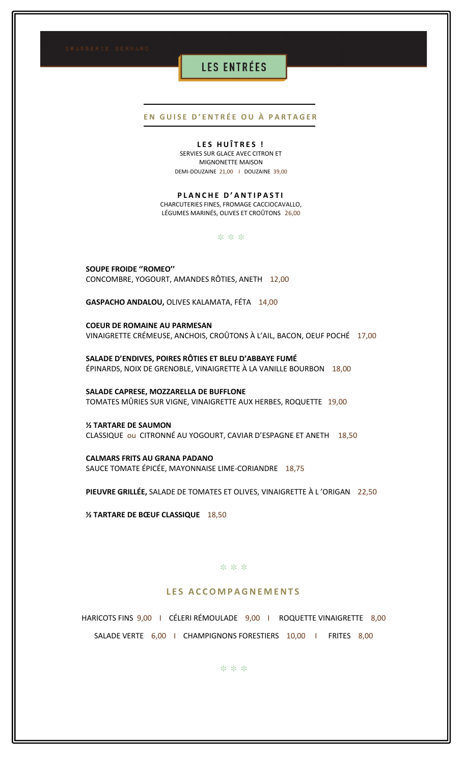# **LES ENTRÉES**

## EN GUISE D'ENTRÉE OU À PARTAGER

### LES HUÎTRES !

SERVIES SUR GLACE AVEC CITRON ET MIGNONETTE MAISON DEMI-DOUZAINE 21,00 | DOUZAINE 39,00

### PLANCHE D'ANTIPASTI

CHARCUTERIES FINES, FROMAGE CACCIOCAVALLO, LÉGUMES MARINÉS, OLIVES ET CROÛTONS 26,00

\* \* \*

**SOUPE FROIDE "ROMEO"** CONCOMBRE, YOGOURT, AMANDES RÔTIES, ANETH 12,00

GASPACHO ANDALOU, OLIVES KALAMATA, FÉTA 14,00

**COEUR DE ROMAINE AU PARMESAN** VINAIGRETTE CRÉMEUSE, ANCHOIS, CROÛTONS À L'AIL, BACON, OEUF POCHÉ 17,00

SALADE D'ENDIVES, POIRES RÔTIES ET BLEU D'ABBAYE FUMÉ ÉPINARDS, NOIX DE GRENOBLE, VINAIGRETTE À LA VANILLE BOURBON 18,00

SALADE CAPRESE, MOZZARELLA DE BUFFLONE TOMATES MÛRIES SUR VIGNE, VINAIGRETTE AUX HERBES, ROQUETTE 19,00

**1/2 TARTARE DE SAUMON** CLASSIQUE ou CITRONNÉ AU YOGOURT, CAVIAR D'ESPAGNE ET ANETH 18,50

**CALMARS FRITS AU GRANA PADANO** SAUCE TOMATE ÉPICÉE, MAYONNAISE LIME-CORIANDRE 18,75

PIEUVRE GRILLÉE, SALADE DE TOMATES ET OLIVES, VINAIGRETTE À L'ORIGAN 22,50

**18,50 Y TARTARE DE BŒUF CLASSIQUE** 

#### \* \* \*

## LES ACCOMPAGNEMENTS

HARICOTS FINS 9,00 | CÉLERI RÉMOULADE 9,00 | ROQUETTE VINAIGRETTE 8,00 SALADE VERTE 6,00 | CHAMPIGNONS FORESTIERS 10,00 | FRITES 8,00

\* \* \*